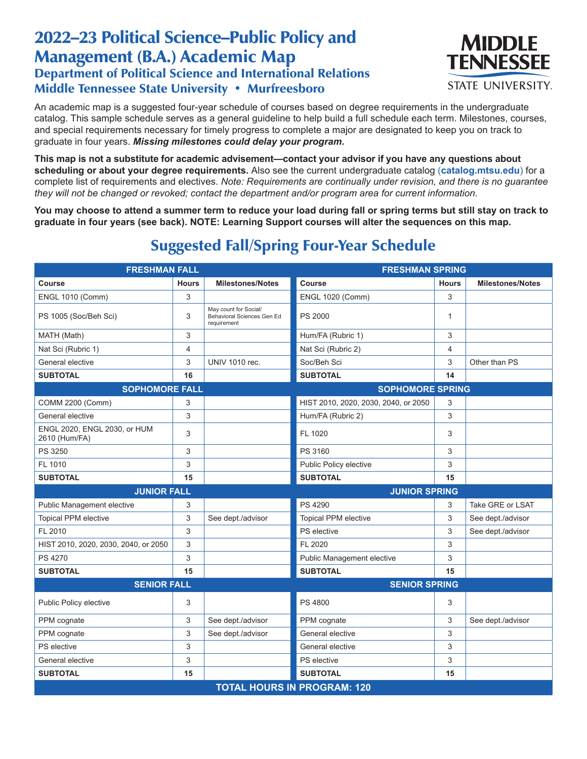## 2022–23 Political Science–Public Policy and Management (B.A.) Academic Map Department of Political Science and International Relations Middle Tennessee State University • Murfreesboro



An academic map is a suggested four-year schedule of courses based on degree requirements in the undergraduate catalog. This sample schedule serves as a general guideline to help build a full schedule each term. Milestones, courses, and special requirements necessary for timely progress to complete a major are designated to keep you on track to graduate in four years. *Missing milestones could delay your program.*

**This map is not a substitute for academic advisement—contact your advisor if you have any questions about scheduling or about your degree requirements.** Also see the current undergraduate catalog (**catalog.mtsu.edu**) for a complete list of requirements and electives. *Note: Requirements are continually under revision, and there is no guarantee they will not be changed or revoked; contact the department and/or program area for current information.*

**You may choose to attend a summer term to reduce your load during fall or spring terms but still stay on track to graduate in four years (see back). NOTE: Learning Support courses will alter the sequences on this map.**

| <b>FRESHMAN FALL</b>                          |              |                                                                    | <b>FRESHMAN SPRING</b>               |              |                         |  |  |  |
|-----------------------------------------------|--------------|--------------------------------------------------------------------|--------------------------------------|--------------|-------------------------|--|--|--|
| Course                                        | <b>Hours</b> | <b>Milestones/Notes</b>                                            | <b>Course</b>                        | <b>Hours</b> | <b>Milestones/Notes</b> |  |  |  |
| <b>ENGL 1010 (Comm)</b>                       | 3            |                                                                    | <b>ENGL 1020 (Comm)</b>              | 3            |                         |  |  |  |
| PS 1005 (Soc/Beh Sci)                         | 3            | May count for Social/<br>Behavioral Sciences Gen Ed<br>requirement | PS 2000                              | $\mathbf{1}$ |                         |  |  |  |
| MATH (Math)                                   | 3            |                                                                    | Hum/FA (Rubric 1)                    | 3            |                         |  |  |  |
| Nat Sci (Rubric 1)                            | 4            |                                                                    | Nat Sci (Rubric 2)                   | 4            |                         |  |  |  |
| General elective                              | 3            | <b>UNIV 1010 rec.</b>                                              | Soc/Beh Sci                          | 3            | Other than PS           |  |  |  |
| <b>SUBTOTAL</b>                               | 16           |                                                                    | <b>SUBTOTAL</b>                      | 14           |                         |  |  |  |
| <b>SOPHOMORE FALL</b>                         |              |                                                                    | <b>SOPHOMORE SPRING</b>              |              |                         |  |  |  |
| <b>COMM 2200 (Comm)</b>                       | 3            |                                                                    | HIST 2010, 2020, 2030, 2040, or 2050 | 3            |                         |  |  |  |
| General elective                              | 3            |                                                                    | Hum/FA (Rubric 2)                    | 3            |                         |  |  |  |
| ENGL 2020, ENGL 2030, or HUM<br>2610 (Hum/FA) | 3            |                                                                    | FL 1020                              | 3            |                         |  |  |  |
| PS 3250                                       | 3            |                                                                    | PS 3160                              | 3            |                         |  |  |  |
| FL 1010                                       | 3            |                                                                    | Public Policy elective               | 3            |                         |  |  |  |
| <b>SUBTOTAL</b>                               | 15           |                                                                    | <b>SUBTOTAL</b>                      | 15           |                         |  |  |  |
| <b>JUNIOR FALL</b>                            |              |                                                                    | <b>JUNIOR SPRING</b>                 |              |                         |  |  |  |
| Public Management elective                    | 3            |                                                                    | PS 4290                              | 3            | Take GRE or LSAT        |  |  |  |
| <b>Topical PPM elective</b>                   | 3            | See dept./advisor                                                  | <b>Topical PPM elective</b>          | 3            | See dept./advisor       |  |  |  |
| FL 2010                                       | 3            |                                                                    | PS elective                          | 3            | See dept./advisor       |  |  |  |
| HIST 2010, 2020, 2030, 2040, or 2050          | 3            |                                                                    | FL 2020                              | 3            |                         |  |  |  |
| PS 4270                                       | 3            |                                                                    | Public Management elective           | 3            |                         |  |  |  |
| <b>SUBTOTAL</b>                               | 15           |                                                                    | <b>SUBTOTAL</b>                      | 15           |                         |  |  |  |
| <b>SENIOR FALL</b>                            |              |                                                                    | <b>SENIOR SPRING</b>                 |              |                         |  |  |  |
| Public Policy elective                        | 3            |                                                                    | PS 4800                              | 3            |                         |  |  |  |
| PPM cognate                                   | 3            | See dept./advisor                                                  | PPM cognate                          | 3            | See dept./advisor       |  |  |  |
| PPM cognate                                   | 3            | See dept./advisor                                                  | General elective                     | 3            |                         |  |  |  |
| PS elective                                   | 3            |                                                                    | General elective                     | 3            |                         |  |  |  |
| General elective                              | 3            |                                                                    | <b>PS</b> elective                   | 3            |                         |  |  |  |
| <b>SUBTOTAL</b>                               | 15           |                                                                    | <b>SUBTOTAL</b>                      | 15           |                         |  |  |  |
| <b>TOTAL HOURS IN PROGRAM: 120</b>            |              |                                                                    |                                      |              |                         |  |  |  |

## Suggested Fall/Spring Four-Year Schedule